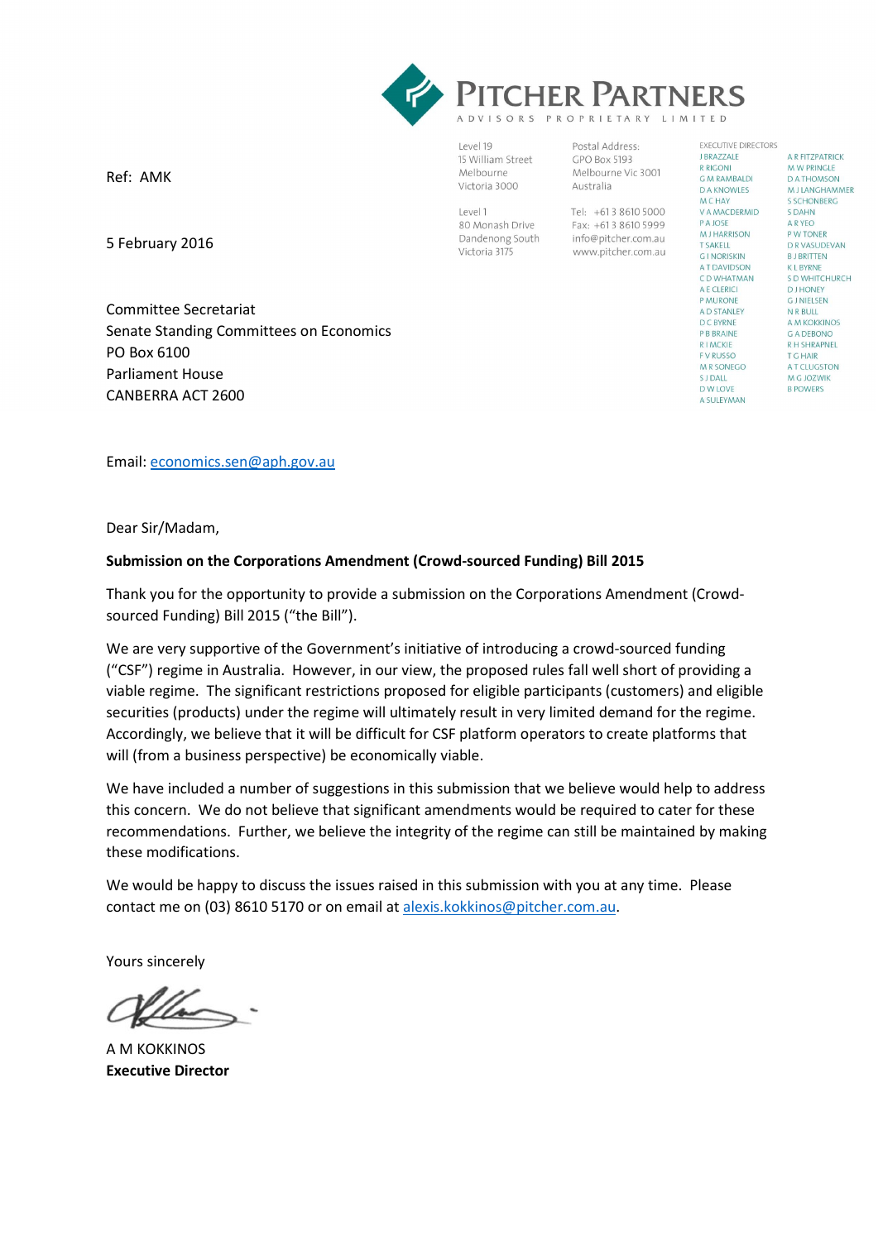

Level 19 15 William Street Melbourne Victoria 3000

Level 1 80 Monash Drive Dandenong South Victoria 3175

Postal Address: GPO Box 5193 Melbourne Vic 3001 Australia

Tel: +613 8610 5000 Fax: +613 8610 5999 info@pitcher.com.au www.pitcher.com.au **EXECUTIVE DIRECTORS J BRAZZALE R RIGONI G M RAMBALDI DA KNOWLES MCHAY** V A MACDERMID **PA JOSE MIHARRISON T SAKELL** GINORISKIN **AT DAVIDSON** C D WHATMAN A E CLERICI **PMURONE** A D STANLEY D C BYRNE **P B BRAINE RIMCKIE EV RUSSO M R SONEGO S** J DALL **D W LOVE A SULFYMAN** 

A R FITZPATRICK M W PRINGLE D A THOMSON MJ LANGHAMMER **S SCHONBERG** S DAHN **A R YEO** P W TONER D R VASUDEVAN **BJ BRITTEN KLBYRNE** S D WHITCHURCH **DJHONEY GLNIFLSEN** N R BULL A M KOKKINOS **G A DEBONO R H SHRAPNEL** T G HAIR A T CLUGSTON M G JOZWIK **B POWERS** 

Ref: AMK

5 February 2016

 Committee Secretariat Senate Standing Committees on Economics PO Box 6100 Parliament House CANBERRA ACT 2600

Email: <u>economics.sen@aph.gov.au</u><br>Dear Sir/Madam,

Dear Sir/Madam.

#### Submission on the Corporations Amendment (Crowd-sourced Funding) Bill 2015

 Thank you for the opportunity to provide a submission on the Corporations Amendment (Crowd-sourced Funding) Bill 2015 ("the Bill").

 We are very supportive of the Government's initiative of introducing a crowd-sourced funding ("CSF") regime in Australia. However, in our view, the proposed rules fall well short of providing a viable regime. The significant restrictions proposed for eligible participants (customers) and eligible securities (products) under the regime will ultimately result in very limited demand for the regime. Accordingly, we believe that it will be difficult for CSF platform operators to create platforms that will (from a business perspective) be economically viable.

 We have included a number of suggestions in this submission that we believe would help to address this concern. We do not believe that significant amendments would be required to cater for these recommendations. Further, we believe the integrity of the regime can still be maintained by making these modifications.

 We would be happy to discuss the issues raised in this submission with you at any time. Please contact me on (03) 8610 5170 or on email at alexis.kokkinos@pitcher.com.au.

Yours sincerely

 A M KOKKINOS Executive Director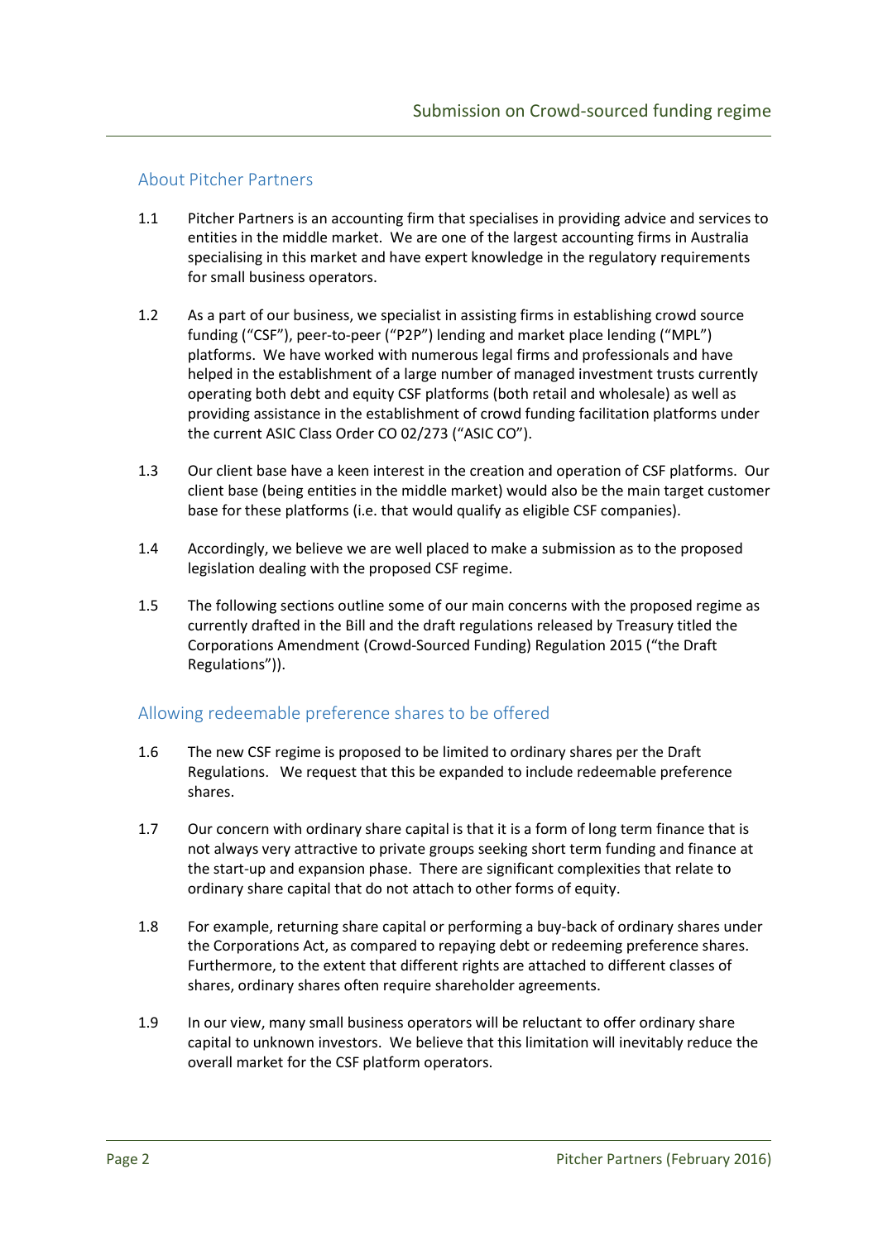## About Pitcher Partners

- 1.1 Pitcher Partners is an accounting firm that specialises in providing advice and services to entities in the middle market. We are one of the largest accounting firms in Australia specialising in this market and have expert knowledge in the regulatory requirements for small business operators.
- 1.2 As a part of our business, we specialist in assisting firms in establishing crowd source funding ("CSF"), peer-to-peer ("P2P") lending and market place lending ("MPL") platforms. We have worked with numerous legal firms and professionals and have helped in the establishment of a large number of managed investment trusts currently operating both debt and equity CSF platforms (both retail and wholesale) as well as providing assistance in the establishment of crowd funding facilitation platforms under the current ASIC Class Order CO 02/273 ("ASIC CO").
- 1.3 Our client base have a keen interest in the creation and operation of CSF platforms. Our client base (being entities in the middle market) would also be the main target customer base for these platforms (i.e. that would qualify as eligible CSF companies).
- 1.4 Accordingly, we believe we are well placed to make a submission as to the proposed legislation dealing with the proposed CSF regime.
- 1.5 The following sections outline some of our main concerns with the proposed regime as currently drafted in the Bill and the draft regulations released by Treasury titled the Corporations Amendment (Crowd-Sourced Funding) Regulation 2015 ("the Draft Regulations")).

# Allowing redeemable preference shares to be offered

- 1.6 The new CSF regime is proposed to be limited to ordinary shares per the Draft Regulations. We request that this be expanded to include redeemable preference shares.
- 1.7 Our concern with ordinary share capital is that it is a form of long term finance that is not always very attractive to private groups seeking short term funding and finance at the start-up and expansion phase. There are significant complexities that relate to ordinary share capital that do not attach to other forms of equity.
- 1.8 For example, returning share capital or performing a buy-back of ordinary shares under the Corporations Act, as compared to repaying debt or redeeming preference shares. Furthermore, to the extent that different rights are attached to different classes of shares, ordinary shares often require shareholder agreements.
- 1.9 In our view, many small business operators will be reluctant to offer ordinary share capital to unknown investors. We believe that this limitation will inevitably reduce the overall market for the CSF platform operators.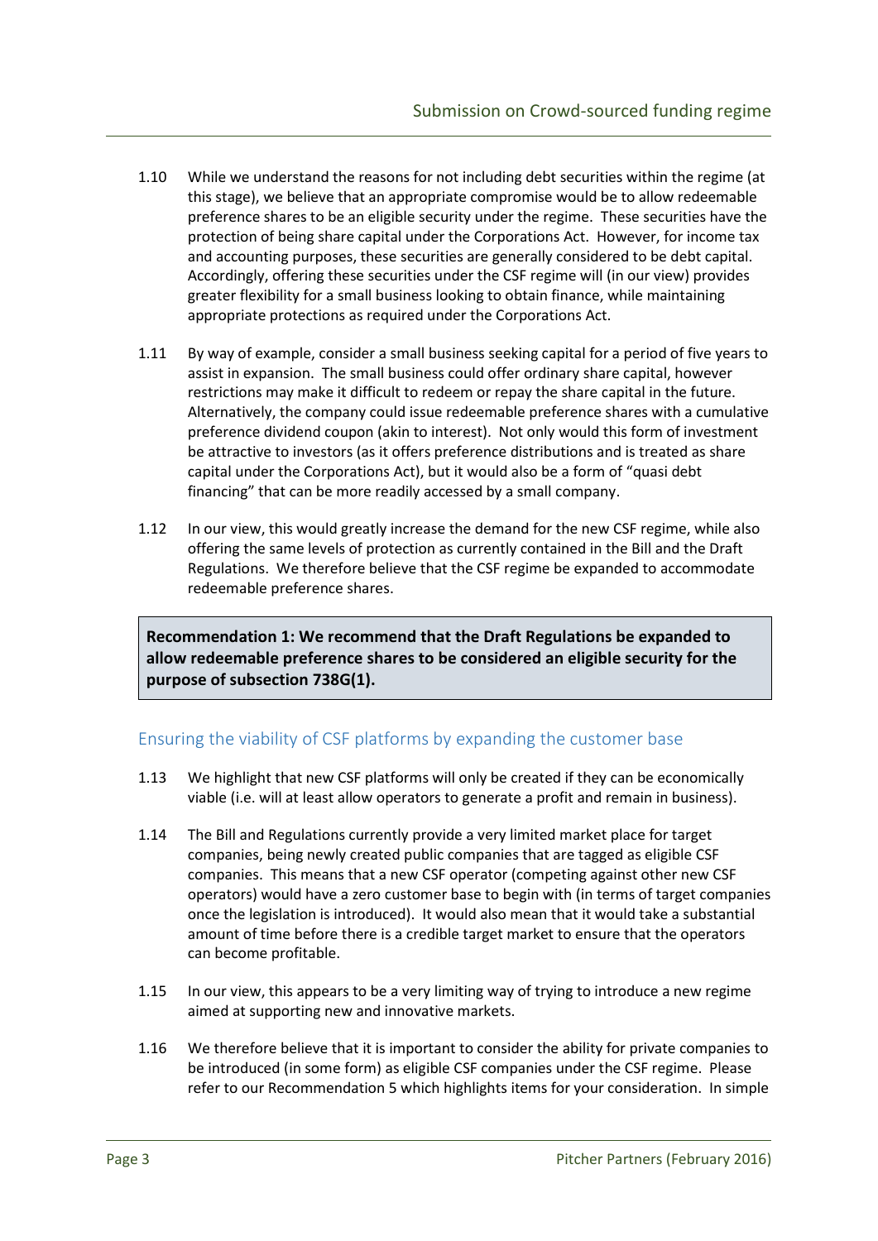- 1.10 While we understand the reasons for not including debt securities within the regime (at this stage), we believe that an appropriate compromise would be to allow redeemable preference shares to be an eligible security under the regime. These securities have the protection of being share capital under the Corporations Act. However, for income tax and accounting purposes, these securities are generally considered to be debt capital. Accordingly, offering these securities under the CSF regime will (in our view) provides greater flexibility for a small business looking to obtain finance, while maintaining appropriate protections as required under the Corporations Act.
- 1.11 By way of example, consider a small business seeking capital for a period of five years to assist in expansion. The small business could offer ordinary share capital, however restrictions may make it difficult to redeem or repay the share capital in the future. Alternatively, the company could issue redeemable preference shares with a cumulative preference dividend coupon (akin to interest). Not only would this form of investment be attractive to investors (as it offers preference distributions and is treated as share capital under the Corporations Act), but it would also be a form of "quasi debt financing" that can be more readily accessed by a small company.
- 1.12 In our view, this would greatly increase the demand for the new CSF regime, while also offering the same levels of protection as currently contained in the Bill and the Draft Regulations. We therefore believe that the CSF regime be expanded to accommodate redeemable preference shares.

 Recommendation 1: We recommend that the Draft Regulations be expanded to allow redeemable preference shares to be considered an eligible security for the purpose of subsection 738G(1).

### Ensuring the viability of CSF platforms by expanding the customer base

- 1.13 We highlight that new CSF platforms will only be created if they can be economically viable (i.e. will at least allow operators to generate a profit and remain in business).
- 1.14 The Bill and Regulations currently provide a very limited market place for target companies, being newly created public companies that are tagged as eligible CSF companies. This means that a new CSF operator (competing against other new CSF operators) would have a zero customer base to begin with (in terms of target companies once the legislation is introduced). It would also mean that it would take a substantial amount of time before there is a credible target market to ensure that the operators can become profitable.
- 1.15 In our view, this appears to be a very limiting way of trying to introduce a new regime aimed at supporting new and innovative markets.
- 1.16 We therefore believe that it is important to consider the ability for private companies to be introduced (in some form) as eligible CSF companies under the CSF regime. Please refer to our Recommendation 5 which highlights items for your consideration. In simple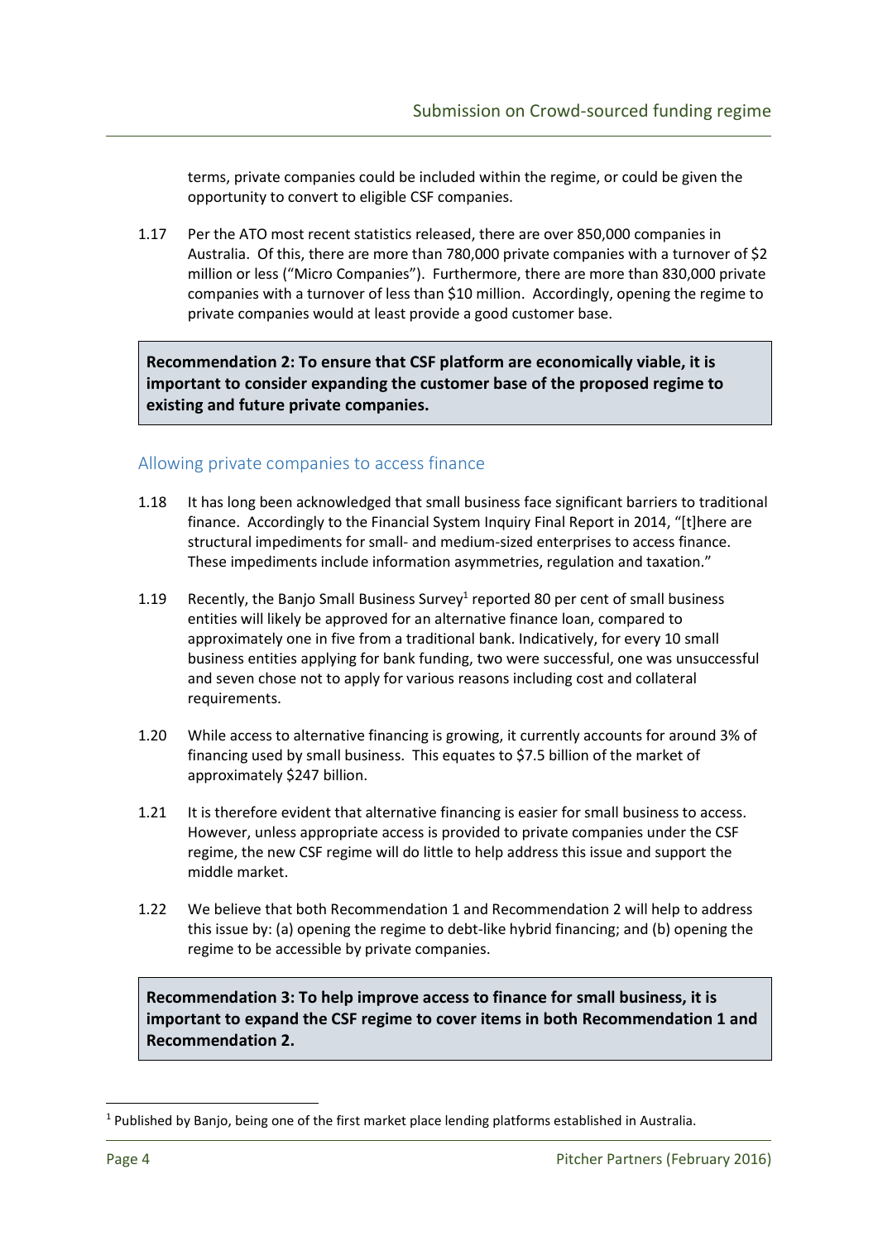terms, private companies could be included within the regime, or could be given the opportunity to convert to eligible CSF companies.

1.17 Per the ATO most recent statistics released, there are over 850,000 companies in Australia. Of this, there are more than 780,000 private companies with a turnover of \$2 million or less ("Micro Companies"). Furthermore, there are more than 830,000 private companies with a turnover of less than \$10 million. Accordingly, opening the regime to private companies would at least provide a good customer base.

 Recommendation 2: To ensure that CSF platform are economically viable, it is important to consider expanding the customer base of the proposed regime to existing and future private companies.

## Allowing private companies to access finance

- 1.18 It has long been acknowledged that small business face significant barriers to traditional finance. Accordingly to the Financial System Inquiry Final Report in 2014, "[t]here are structural impediments for small- and medium-sized enterprises to access finance. These impediments include information asymmetries, regulation and taxation."
- 1.19 Recently, the Banjo Small Business Survey<sup>1</sup> reported 80 per cent of small business entities will likely be approved for an alternative finance loan, compared to approximately one in five from a traditional bank. Indicatively, for every 10 small business entities applying for bank funding, two were successful, one was unsuccessful and seven chose not to apply for various reasons including cost and collateral requirements.
- 1.20 While access to alternative financing is growing, it currently accounts for around 3% of financing used by small business. This equates to \$7.5 billion of the market of approximately \$247 billion.
- 1.21 It is therefore evident that alternative financing is easier for small business to access. However, unless appropriate access is provided to private companies under the CSF regime, the new CSF regime will do little to help address this issue and support the middle market.
- 1.22 We believe that both Recommendation 1 and Recommendation 2 will help to address this issue by: (a) opening the regime to debt-like hybrid financing; and (b) opening the regime to be accessible by private companies.

 Recommendation 3: To help improve access to finance for small business, it is important to expand the CSF regime to cover items in both Recommendation 1 and Recommendation 2.

<u>.</u>

 $1$  Published by Banjo, being one of the first market place lending platforms established in Australia.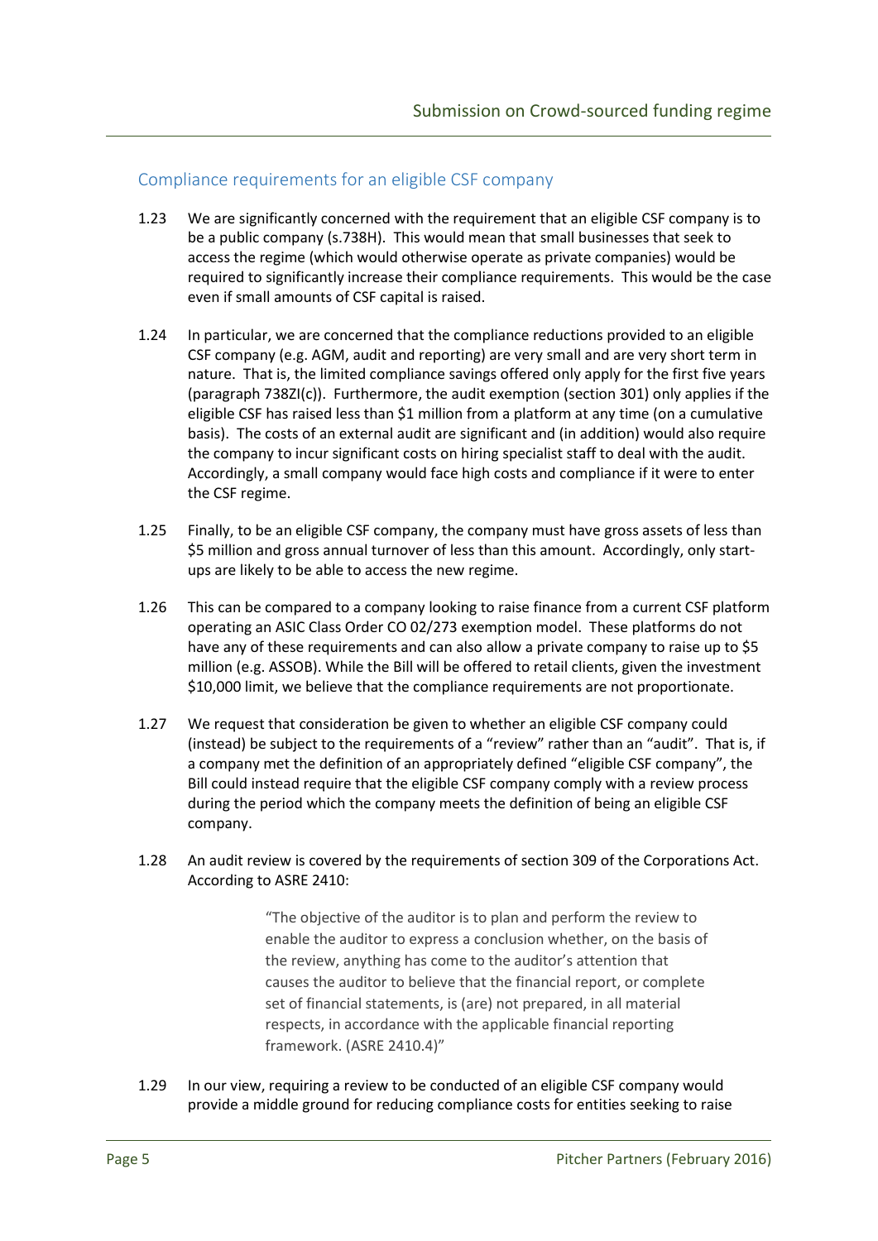## Compliance requirements for an eligible CSF company

- 1.23 We are significantly concerned with the requirement that an eligible CSF company is to be a public company (s.738H). This would mean that small businesses that seek to access the regime (which would otherwise operate as private companies) would be required to significantly increase their compliance requirements. This would be the case even if small amounts of CSF capital is raised.
- 1.24 In particular, we are concerned that the compliance reductions provided to an eligible CSF company (e.g. AGM, audit and reporting) are very small and are very short term in nature. That is, the limited compliance savings offered only apply for the first five years (paragraph 738ZI(c)). Furthermore, the audit exemption (section 301) only applies if the eligible CSF has raised less than \$1 million from a platform at any time (on a cumulative basis). The costs of an external audit are significant and (in addition) would also require the company to incur significant costs on hiring specialist staff to deal with the audit. Accordingly, a small company would face high costs and compliance if it were to enter the CSF regime.
- 1.25 Finally, to be an eligible CSF company, the company must have gross assets of less than \$5 million and gross annual turnover of less than this amount. Accordingly, only start-ups are likely to be able to access the new regime.
- 1.26 This can be compared to a company looking to raise finance from a current CSF platform operating an ASIC Class Order CO 02/273 exemption model. These platforms do not have any of these requirements and can also allow a private company to raise up to \$5 million (e.g. ASSOB). While the Bill will be offered to retail clients, given the investment \$10,000 limit, we believe that the compliance requirements are not proportionate.
- 1.27 We request that consideration be given to whether an eligible CSF company could (instead) be subject to the requirements of a "review" rather than an "audit". That is, if a company met the definition of an appropriately defined "eligible CSF company", the Bill could instead require that the eligible CSF company comply with a review process during the period which the company meets the definition of being an eligible CSF company.
- company.<br>1.28 An audit review is covered by the requirements of section 309 of the Corporations Act. According to ASRE 2410:

 "The objective of the auditor is to plan and perform the review to enable the auditor to express a conclusion whether, on the basis of the review, anything has come to the auditor's attention that causes the auditor to believe that the financial report, or complete set of financial statements, is (are) not prepared, in all material respects, in accordance with the applicable financial reporting framework. (ASRE 2410.4)"

1.29 In our view, requiring a review to be conducted of an eligible CSF company would provide a middle ground for reducing compliance costs for entities seeking to raise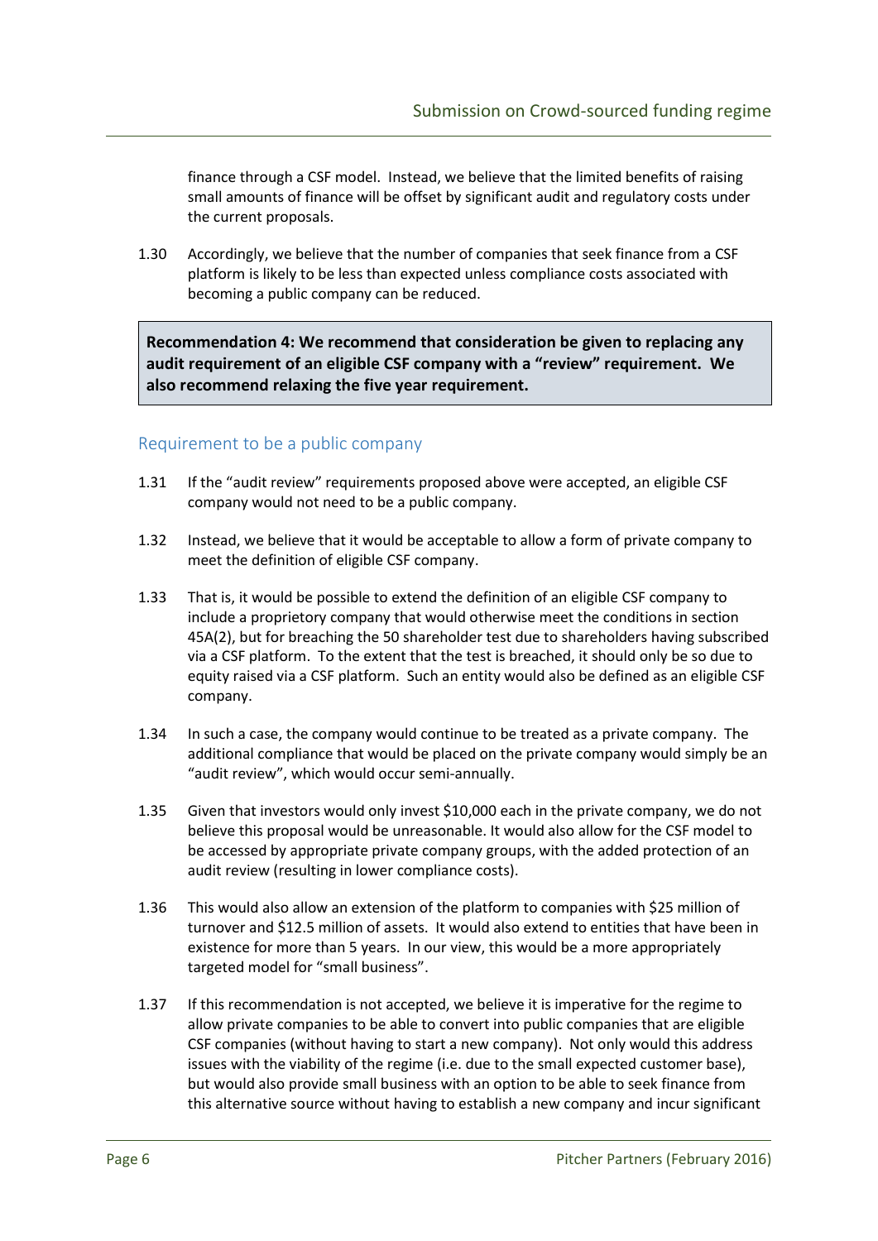finance through a CSF model. Instead, we believe that the limited benefits of raising small amounts of finance will be offset by significant audit and regulatory costs under the current proposals.

1.30 Accordingly, we believe that the number of companies that seek finance from a CSF platform is likely to be less than expected unless compliance costs associated with becoming a public company can be reduced.

 Recommendation 4: We recommend that consideration be given to replacing any audit requirement of an eligible CSF company with a "review" requirement. We also recommend relaxing the five year requirement.

#### Requirement to be a public company

- 1.31 If the "audit review" requirements proposed above were accepted, an eligible CSF company would not need to be a public company.
- 1.32 Instead, we believe that it would be acceptable to allow a form of private company to meet the definition of eligible CSF company.
- 1.33 That is, it would be possible to extend the definition of an eligible CSF company to include a proprietory company that would otherwise meet the conditions in section 45A(2), but for breaching the 50 shareholder test due to shareholders having subscribed via a CSF platform. To the extent that the test is breached, it should only be so due to equity raised via a CSF platform. Such an entity would also be defined as an eligible CSF company.
- 1.34 In such a case, the company would continue to be treated as a private company. The additional compliance that would be placed on the private company would simply be an "audit review", which would occur semi-annually.
- 1.35 Given that investors would only invest \$10,000 each in the private company, we do not believe this proposal would be unreasonable. It would also allow for the CSF model to be accessed by appropriate private company groups, with the added protection of an audit review (resulting in lower compliance costs).
- 1.36 This would also allow an extension of the platform to companies with \$25 million of turnover and \$12.5 million of assets. It would also extend to entities that have been in existence for more than 5 years. In our view, this would be a more appropriately targeted model for "small business".
- 1.37 If this recommendation is not accepted, we believe it is imperative for the regime to allow private companies to be able to convert into public companies that are eligible CSF companies (without having to start a new company). Not only would this address issues with the viability of the regime (i.e. due to the small expected customer base), but would also provide small business with an option to be able to seek finance from this alternative source without having to establish a new company and incur significant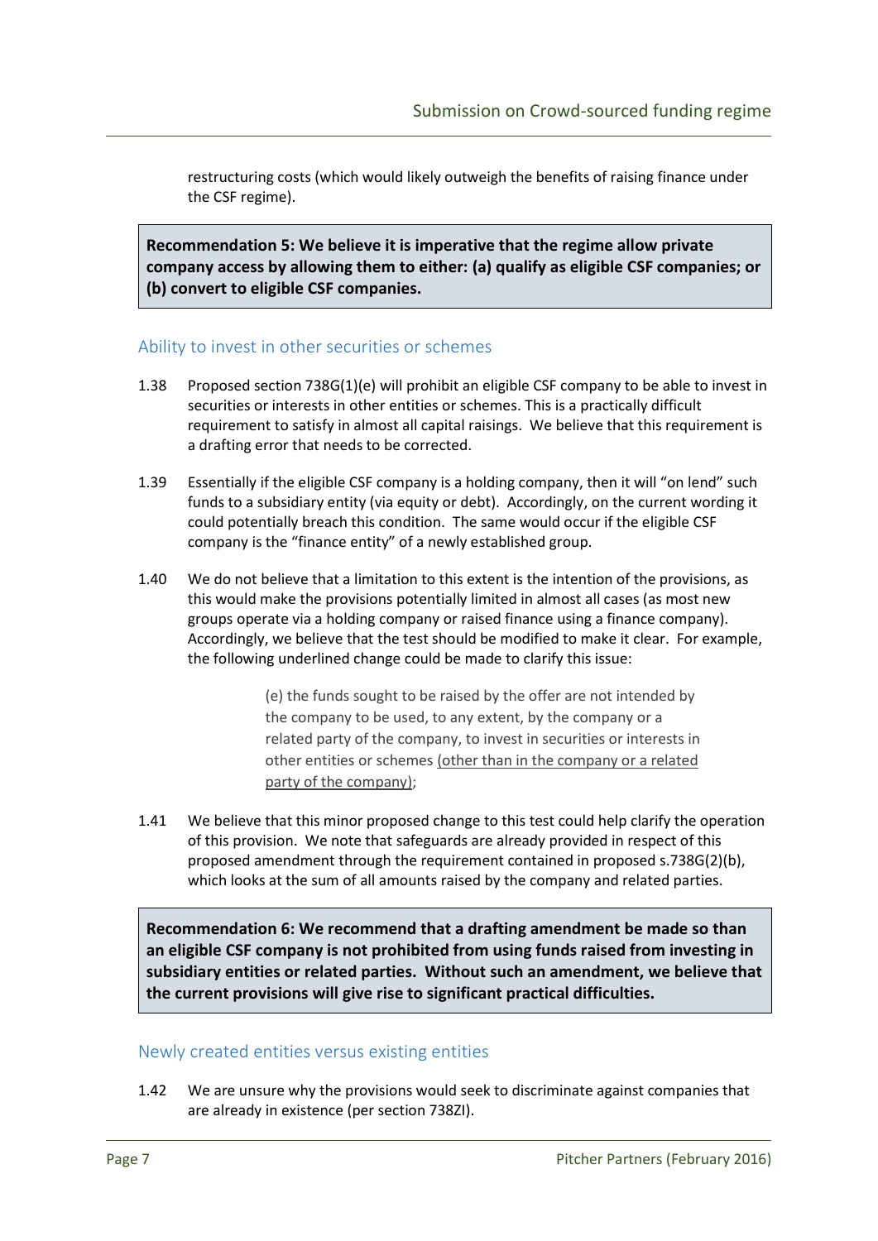restructuring costs (which would likely outweigh the benefits of raising finance under the CSF regime).

 Recommendation 5: We believe it is imperative that the regime allow private company access by allowing them to either: (a) qualify as eligible CSF companies; or (b) convert to eligible CSF companies.

## Ability to invest in other securities or schemes

- 1.38 Proposed section 738G(1)(e) will prohibit an eligible CSF company to be able to invest in securities or interests in other entities or schemes. This is a practically difficult requirement to satisfy in almost all capital raisings. We believe that this requirement is a drafting error that needs to be corrected.
- 1.39 Essentially if the eligible CSF company is a holding company, then it will "on lend" such funds to a subsidiary entity (via equity or debt). Accordingly, on the current wording it could potentially breach this condition. The same would occur if the eligible CSF company is the "finance entity" of a newly established group.
- 1.40 We do not believe that a limitation to this extent is the intention of the provisions, as this would make the provisions potentially limited in almost all cases (as most new groups operate via a holding company or raised finance using a finance company). Accordingly, we believe that the test should be modified to make it clear. For example, the following underlined change could be made to clarify this issue:

 (e) the funds sought to be raised by the offer are not intended by the company to be used, to any extent, by the company or a related party of the company, to invest in securities or interests in other entities or schemes (other than in the company or a related party of the company);

1.41 We believe that this minor proposed change to this test could help clarify the operation of this provision. We note that safeguards are already provided in respect of this proposed amendment through the requirement contained in proposed s.738G(2)(b), which looks at the sum of all amounts raised by the company and related parties.

 Recommendation 6: We recommend that a drafting amendment be made so than an eligible CSF company is not prohibited from using funds raised from investing in subsidiary entities or related parties. Without such an amendment, we believe that the current provisions will give rise to significant practical difficulties.

#### Newly created entities versus existing entities

1.42 We are unsure why the provisions would seek to discriminate against companies that are already in existence (per section 738ZI).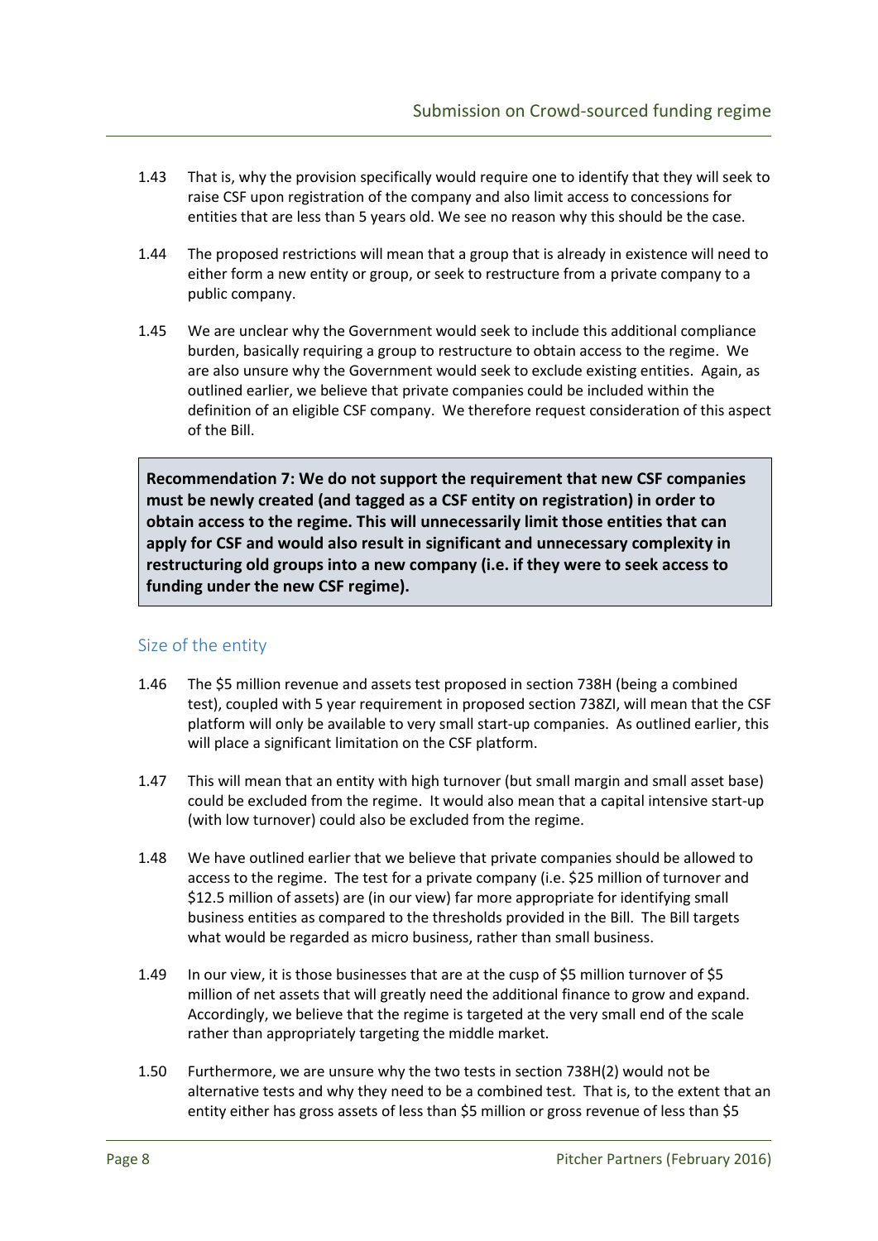- 1.43 That is, why the provision specifically would require one to identify that they will seek to raise CSF upon registration of the company and also limit access to concessions for entities that are less than 5 years old. We see no reason why this should be the case.
- 1.44 The proposed restrictions will mean that a group that is already in existence will need to either form a new entity or group, or seek to restructure from a private company to a public company.
- 1.45 We are unclear why the Government would seek to include this additional compliance burden, basically requiring a group to restructure to obtain access to the regime. We are also unsure why the Government would seek to exclude existing entities. Again, as outlined earlier, we believe that private companies could be included within the definition of an eligible CSF company. We therefore request consideration of this aspect of the Bill.

 Recommendation 7: We do not support the requirement that new CSF companies must be newly created (and tagged as a CSF entity on registration) in order to obtain access to the regime. This will unnecessarily limit those entities that can apply for CSF and would also result in significant and unnecessary complexity in restructuring old groups into a new company (i.e. if they were to seek access to funding under the new CSF regime).

## Size of the entity

- 1.46 The \$5 million revenue and assets test proposed in section 738H (being a combined test), coupled with 5 year requirement in proposed section 738ZI, will mean that the CSF platform will only be available to very small start-up companies. As outlined earlier, this will place a significant limitation on the CSF platform.
- 1.47 This will mean that an entity with high turnover (but small margin and small asset base) could be excluded from the regime. It would also mean that a capital intensive start-up (with low turnover) could also be excluded from the regime.
- 1.48 We have outlined earlier that we believe that private companies should be allowed to access to the regime. The test for a private company (i.e. \$25 million of turnover and \$12.5 million of assets) are (in our view) far more appropriate for identifying small business entities as compared to the thresholds provided in the Bill. The Bill targets what would be regarded as micro business, rather than small business.
- 1.49 In our view, it is those businesses that are at the cusp of \$5 million turnover of \$5 million of net assets that will greatly need the additional finance to grow and expand. Accordingly, we believe that the regime is targeted at the very small end of the scale rather than appropriately targeting the middle market.
- 1.50 Furthermore, we are unsure why the two tests in section 738H(2) would not be alternative tests and why they need to be a combined test. That is, to the extent that an entity either has gross assets of less than \$5 million or gross revenue of less than \$5